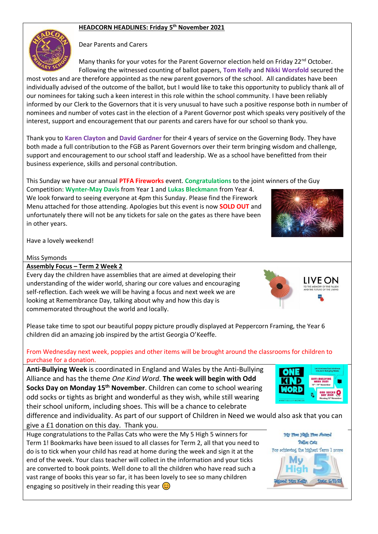## **HEADCORN HEADLINES: Friday 5 th November 2021**



Dear Parents and Carers

Many thanks for your votes for the Parent Governor election held on Friday 22<sup>nd</sup> October. Following the witnessed counting of ballot papers, **Tom Kelly** and **Nikki Worsfold** secured the

most votes and are therefore appointed as the new parent governors of the school. All candidates have been individually advised of the outcome of the ballot, but I would like to take this opportunity to publicly thank all of our nominees for taking such a keen interest in this role within the school community. I have been reliably informed by our Clerk to the Governors that it is very unusual to have such a positive response both in number of nominees and number of votes cast in the election of a Parent Governor post which speaks very positively of the interest, support and encouragement that our parents and carers have for our school so thank you.

Thank you to **Karen Clayton** and **David Gardner** for their 4 years of service on the Governing Body. They have both made a full contribution to the FGB as Parent Governors over their term bringing wisdom and challenge, support and encouragement to our school staff and leadership. We as a school have benefitted from their business experience, skills and personal contribution.

This Sunday we have our annual **PTFA Fireworks** event. **Congratulations** to the joint winners of the Guy

Competition: **Wynter-May Davis** from Year 1 and **Lukas Bleckmann** from Year 4. We look forward to seeing everyone at 4pm this Sunday. Please find the Firework Menu attached for those attending. Apologies but this event is now **SOLD OUT** and unfortunately there will not be any tickets for sale on the gates as there have been in other years.



LIVE ON

Have a lovely weekend!

## Miss Symonds

**Assembly Focus – Term 2 Week 2**

Every day the children have assemblies that are aimed at developing their understanding of the wider world, sharing our core values and encouraging self-reflection. Each week we will be having a focus and next week we are looking at Remembrance Day, talking about why and how this day is commemorated throughout the world and locally.

Please take time to spot our beautiful poppy picture proudly displayed at Peppercorn Framing, the Year 6 children did an amazing job inspired by the artist Georgia O'Keeffe.

## From Wednesday next week, poppies and other items will be brought around the classrooms for children to purchase for a donation.

**Anti-Bullying Week** is coordinated in England and Wales by the Anti-Bullying Alliance and has the theme *One Kind Word*. **The week will begin with Odd Socks Day on Monday 15 th November**. Children can come to school wearing odd socks or tights as bright and wonderful as they wish, while still wearing their school uniform, including shoes. This will be a chance to celebrate

difference and individuality. As part of our support of Children in Need we would also ask that you can give a £1 donation on this day. Thank you.

Huge congratulations to the Pallas Cats who were the My 5 High 5 winners for Term 1! Bookmarks have been issued to all classes for Term 2, all that you need to do is to tick when your child has read at home during the week and sign it at the end of the week. Your class teacher will collect in the information and your ticks are converted to book points. Well done to all the children who have read such a vast range of books this year so far, it has been lovely to see so many children engaging so positively in their reading this year  $\circled{c}$